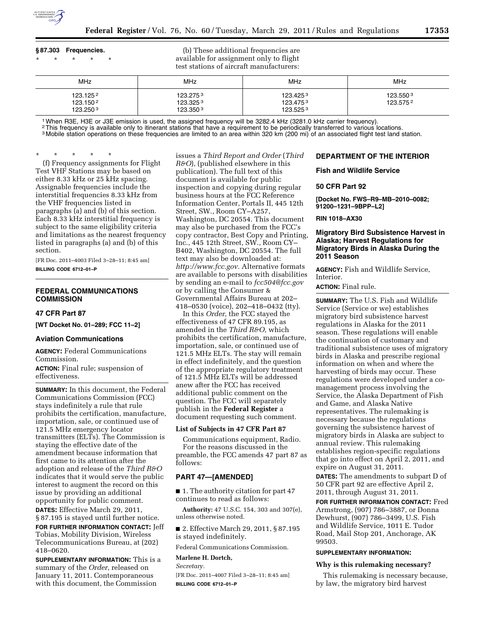

# **§ 87.303 Frequencies.**  \* \* \* \* \*

(b) These additional frequencies are available for assignment only to flight test stations of aircraft manufacturers:

| MHz                              | <b>MHz</b>                       | <b>MHz</b>                                   | MHz                  |
|----------------------------------|----------------------------------|----------------------------------------------|----------------------|
| 123.1252<br>123.1502<br>123.2503 | 123.2753<br>123.3253<br>123.3503 | 123.425 <sup>3</sup><br>123.4753<br>123.5253 | 123.5503<br>123.5752 |

<sup>1</sup> When R3E, H3E or J3E emission is used, the assigned frequency will be 3282.4 kHz (3281.0 kHz carrier frequency).<br><sup>2</sup> This frequency is available only to itinerant stations that have a requirement to be periodically tra

<sup>3</sup> Mobile station operations on these frequencies are limited to an area within 320 km (200 mi) of an associated flight test land station.

\* \* \* \* \* (f) Frequency assignments for Flight Test VHF Stations may be based on either 8.33 kHz or 25 kHz spacing. Assignable frequencies include the interstitial frequencies 8.33 kHz from the VHF frequencies listed in paragraphs (a) and (b) of this section. Each 8.33 kHz interstitial frequency is subject to the same eligibility criteria and limitations as the nearest frequency listed in paragraphs (a) and (b) of this section.

[FR Doc. 2011–4003 Filed 3–28–11; 8:45 am] **BILLING CODE 6712–01–P** 

# **FEDERAL COMMUNICATIONS COMMISSION**

# **47 CFR Part 87**

**[WT Docket No. 01–289; FCC 11–2]** 

# **Aviation Communications**

**AGENCY:** Federal Communications Commission.

**ACTION:** Final rule; suspension of effectiveness.

**SUMMARY:** In this document, the Federal Communications Commission (FCC) stays indefinitely a rule that rule prohibits the certification, manufacture, importation, sale, or continued use of 121.5 MHz emergency locator transmitters (ELTs). The Commission is staying the effective date of the amendment because information that first came to its attention after the adoption and release of the *Third R&O*  indicates that it would serve the public interest to augment the record on this issue by providing an additional opportunity for public comment. **DATES:** Effective March 29, 2011, § 87.195 is stayed until further notice.

**FOR FURTHER INFORMATION CONTACT:** Jeff Tobias, Mobility Division, Wireless Telecommunications Bureau, at (202) 418–0620.

**SUPPLEMENTARY INFORMATION:** This is a summary of the *Order,* released on January 11, 2011. Contemporaneous with this document, the Commission

issues a *Third Report and Order* (*Third R&O*), (published elsewhere in this publication). The full text of this document is available for public inspection and copying during regular business hours at the FCC Reference Information Center, Portals II, 445 12th Street, SW., Room CY–A257, Washington, DC 20554. This document may also be purchased from the FCC's copy contractor, Best Copy and Printing, Inc., 445 12th Street, SW., Room CY– B402, Washington, DC 20554. The full text may also be downloaded at: *[http://www.fcc.gov.](http://www.fcc.gov)* Alternative formats are available to persons with disabilities by sending an e-mail to *[fcc504@fcc.gov](mailto:fcc504@fcc.gov)*  or by calling the Consumer & Governmental Affairs Bureau at 202– 418–0530 (voice), 202–418–0432 (tty).

In this *Order,* the FCC stayed the effectiveness of 47 CFR 89.195, as amended in the *Third R&O,* which prohibits the certification, manufacture, importation, sale, or continued use of 121.5 MHz ELTs. The stay will remain in effect indefinitely, and the question of the appropriate regulatory treatment of 121.5 MHz ELTs will be addressed anew after the FCC has received additional public comment on the question. The FCC will separately publish in the **Federal Register** a document requesting such comment.

#### **List of Subjects in 47 CFR Part 87**

Communications equipment, Radio. For the reasons discussed in the preamble, the FCC amends 47 part 87 as follows:

### **PART 47—[AMENDED]**

■ 1. The authority citation for part 47 continues to read as follows:

**Authority:** 47 U.S.C. 154, 303 and 307(e), unless otherwise noted.

■ 2. Effective March 29, 2011, § 87.195 is stayed indefinitely.

Federal Communications Commission.

# **Marlene H. Dortch,**

*Secretary.* 

[FR Doc. 2011–4007 Filed 3–28–11; 8:45 am] **BILLING CODE 6712–01–P** 

# **DEPARTMENT OF THE INTERIOR**

### **Fish and Wildlife Service**

# **50 CFR Part 92**

**[Docket No. FWS–R9–MB–2010–0082; 91200–1231–9BPP–L2]** 

#### **RIN 1018–AX30**

# **Migratory Bird Subsistence Harvest in Alaska; Harvest Regulations for Migratory Birds in Alaska During the 2011 Season**

**AGENCY:** Fish and Wildlife Service, Interior.

**ACTION:** Final rule.

**SUMMARY:** The U.S. Fish and Wildlife Service (Service or we) establishes migratory bird subsistence harvest regulations in Alaska for the 2011 season. These regulations will enable the continuation of customary and traditional subsistence uses of migratory birds in Alaska and prescribe regional information on when and where the harvesting of birds may occur. These regulations were developed under a comanagement process involving the Service, the Alaska Department of Fish and Game, and Alaska Native representatives. The rulemaking is necessary because the regulations governing the subsistence harvest of migratory birds in Alaska are subject to annual review. This rulemaking establishes region-specific regulations that go into effect on April 2, 2011, and expire on August 31, 2011.

**DATES:** The amendments to subpart D of 50 CFR part 92 are effective April 2, 2011, through August 31, 2011.

**FOR FURTHER INFORMATION CONTACT:** Fred Armstrong, (907) 786–3887, or Donna Dewhurst, (907) 786–3499, U.S. Fish and Wildlife Service, 1011 E. Tudor Road, Mail Stop 201, Anchorage, AK 99503.

# **SUPPLEMENTARY INFORMATION:**

#### **Why is this rulemaking necessary?**

This rulemaking is necessary because, by law, the migratory bird harvest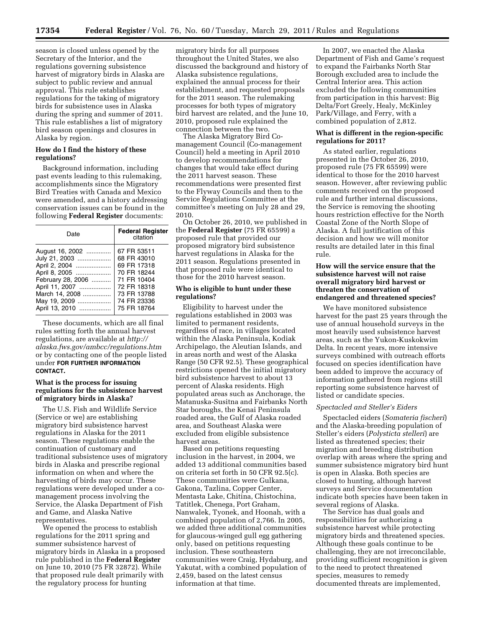season is closed unless opened by the Secretary of the Interior, and the regulations governing subsistence harvest of migratory birds in Alaska are subject to public review and annual approval. This rule establishes regulations for the taking of migratory birds for subsistence uses in Alaska during the spring and summer of 2011. This rule establishes a list of migratory bird season openings and closures in Alaska by region.

### **How do I find the history of these regulations?**

Background information, including past events leading to this rulemaking, accomplishments since the Migratory Bird Treaties with Canada and Mexico were amended, and a history addressing conservation issues can be found in the following **Federal Register** documents:

| Date                                                                                                                                                          | <b>Federal Register</b><br>citation                                                                                                 |
|---------------------------------------------------------------------------------------------------------------------------------------------------------------|-------------------------------------------------------------------------------------------------------------------------------------|
| August 16, 2002<br>July 21, 2003<br>April 2, 2004<br>April 8, 2005<br>February 28, 2006<br>April 11, 2007<br>March 14, 2008<br>May 19, 2009<br>April 13, 2010 | 67 FR 53511<br>68 FR 43010<br>69 FR 17318<br>70 FR 18244<br>71 FR 10404<br>72 FR 18318<br>73 FR 13788<br>74 FR 23336<br>75 FR 18764 |

These documents, which are all final rules setting forth the annual harvest regulations, are available at *[http://](http://alaska.fws.gov/ambcc/regulations.htm)  [alaska.fws.gov/ambcc/regulations.htm](http://alaska.fws.gov/ambcc/regulations.htm)*  or by contacting one of the people listed under **FOR FURTHER INFORMATION CONTACT.** 

# **What is the process for issuing regulations for the subsistence harvest of migratory birds in Alaska?**

The U.S. Fish and Wildlife Service (Service or we) are establishing migratory bird subsistence harvest regulations in Alaska for the 2011 season. These regulations enable the continuation of customary and traditional subsistence uses of migratory birds in Alaska and prescribe regional information on when and where the harvesting of birds may occur. These regulations were developed under a comanagement process involving the Service, the Alaska Department of Fish and Game, and Alaska Native representatives.

We opened the process to establish regulations for the 2011 spring and summer subsistence harvest of migratory birds in Alaska in a proposed rule published in the **Federal Register**  on June 10, 2010 (75 FR 32872). While that proposed rule dealt primarily with the regulatory process for hunting

migratory birds for all purposes throughout the United States, we also discussed the background and history of Alaska subsistence regulations, explained the annual process for their establishment, and requested proposals for the 2011 season. The rulemaking processes for both types of migratory bird harvest are related, and the June 10, 2010, proposed rule explained the connection between the two.

The Alaska Migratory Bird Comanagement Council (Co-management Council) held a meeting in April 2010 to develop recommendations for changes that would take effect during the 2011 harvest season. These recommendations were presented first to the Flyway Councils and then to the Service Regulations Committee at the committee's meeting on July 28 and 29, 2010.

On October 26, 2010, we published in the **Federal Register** (75 FR 65599) a proposed rule that provided our proposed migratory bird subsistence harvest regulations in Alaska for the 2011 season. Regulations presented in that proposed rule were identical to those for the 2010 harvest season.

## **Who is eligible to hunt under these regulations?**

Eligibility to harvest under the regulations established in 2003 was limited to permanent residents, regardless of race, in villages located within the Alaska Peninsula, Kodiak Archipelago, the Aleutian Islands, and in areas north and west of the Alaska Range (50 CFR 92.5). These geographical restrictions opened the initial migratory bird subsistence harvest to about 13 percent of Alaska residents. High populated areas such as Anchorage, the Matanuska-Susitna and Fairbanks North Star boroughs, the Kenai Peninsula roaded area, the Gulf of Alaska roaded area, and Southeast Alaska were excluded from eligible subsistence harvest areas.

Based on petitions requesting inclusion in the harvest, in 2004, we added 13 additional communities based on criteria set forth in 50 CFR 92.5(c). These communities were Gulkana, Gakona, Tazlina, Copper Center, Mentasta Lake, Chitina, Chistochina, Tatitlek, Chenega, Port Graham, Nanwalek, Tyonek, and Hoonah, with a combined population of 2,766. In 2005, we added three additional communities for glaucous-winged gull egg gathering only, based on petitions requesting inclusion. These southeastern communities were Craig, Hydaburg, and Yakutat, with a combined population of 2,459, based on the latest census information at that time.

In 2007, we enacted the Alaska Department of Fish and Game's request to expand the Fairbanks North Star Borough excluded area to include the Central Interior area. This action excluded the following communities from participation in this harvest: Big Delta/Fort Greely, Healy, McKinley Park/Village, and Ferry, with a combined population of 2,812.

### **What is different in the region-specific regulations for 2011?**

As stated earlier, regulations presented in the October 26, 2010, proposed rule (75 FR 65599) were identical to those for the 2010 harvest season. However, after reviewing public comments received on the proposed rule and further internal discussions, the Service is removing the shooting hours restriction effective for the North Coastal Zone of the North Slope of Alaska. A full justification of this decision and how we will monitor results are detailed later in this final rule.

# **How will the service ensure that the subsistence harvest will not raise overall migratory bird harvest or threaten the conservation of endangered and threatened species?**

We have monitored subsistence harvest for the past 25 years through the use of annual household surveys in the most heavily used subsistence harvest areas, such as the Yukon-Kuskokwim Delta. In recent years, more intensive surveys combined with outreach efforts focused on species identification have been added to improve the accuracy of information gathered from regions still reporting some subsistence harvest of listed or candidate species.

### *Spectacled and Steller's Eiders*

Spectacled eiders (*Somateria fischeri*) and the Alaska-breeding population of Steller's eiders (*Polysticta stelleri*) are listed as threatened species; their migration and breeding distribution overlap with areas where the spring and summer subsistence migratory bird hunt is open in Alaska. Both species are closed to hunting, although harvest surveys and Service documentation indicate both species have been taken in several regions of Alaska.

The Service has dual goals and responsibilities for authorizing a subsistence harvest while protecting migratory birds and threatened species. Although these goals continue to be challenging, they are not irreconcilable, providing sufficient recognition is given to the need to protect threatened species, measures to remedy documented threats are implemented,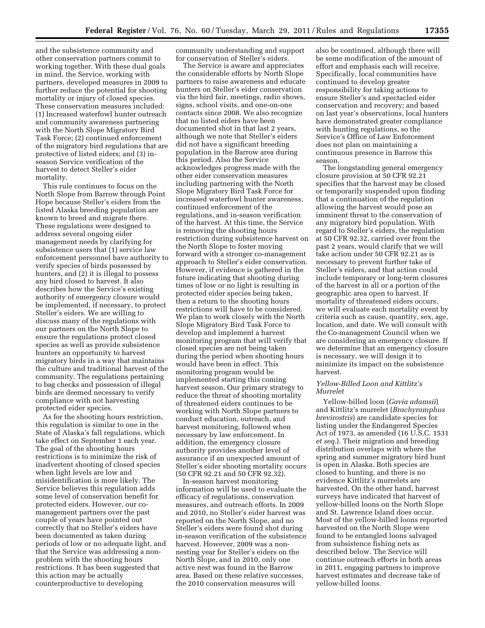and the subsistence community and other conservation partners commit to working together. With these dual goals in mind, the Service, working with partners, developed measures in 2009 to further reduce the potential for shooting mortality or injury of closed species. These conservation measures included: (1) Increased waterfowl hunter outreach and community awareness partnering with the North Slope Migratory Bird Task Force; (2) continued enforcement of the migratory bird regulations that are protective of listed eiders; and (3) inseason Service verification of the harvest to detect Steller's eider mortality.

This rule continues to focus on the North Slope from Barrow through Point Hope because Steller's eiders from the listed Alaska breeding population are known to breed and migrate there. These regulations were designed to address several ongoing eider management needs by clarifying for subsistence users that (1) service law enforcement personnel have authority to verify species of birds possessed by hunters, and (2) it is illegal to possess any bird closed to harvest. It also describes how the Service's existing authority of emergency closure would be implemented, if necessary, to protect Steller's eiders. We are willing to discuss many of the regulations with our partners on the North Slope to ensure the regulations protect closed species as well as provide subsistence hunters an opportunity to harvest migratory birds in a way that maintains the culture and traditional harvest of the community. The regulations pertaining to bag checks and possession of illegal birds are deemed necessary to verify compliance with not harvesting protected eider species.

As for the shooting hours restriction, this regulation is similar to one in the State of Alaska's fall regulations, which take effect on September 1 each year. The goal of the shooting hours restrictions is to minimize the risk of inadvertent shooting of closed species when light levels are low and misidentification is more likely. The Service believes this regulation adds some level of conservation benefit for protected eiders. However, our comanagement partners over the past couple of years have pointed out correctly that no Steller's eiders have been documented as taken during periods of low or no adequate light, and that the Service was addressing a nonproblem with the shooting hours restrictions. It has been suggested that this action may be actually counterproductive to developing

community understanding and support for conservation of Steller's eiders.

The Service is aware and appreciates the considerable efforts by North Slope partners to raise awareness and educate hunters on Steller's eider conservation via the bird fair, meetings, radio shows, signs, school visits, and one-on-one contacts since 2008. We also recognize that no listed eiders have been documented shot in that last 2 years, although we note that Steller's eiders did not have a significant breeding population in the Barrow area during this period. Also the Service acknowledges progress made with the other eider conservation measures including partnering with the North Slope Migratory Bird Task Force for increased waterfowl hunter awareness, continued enforcement of the regulations, and in-season verification of the harvest. At this time, the Service is removing the shooting hours restriction during subsistence harvest on the North Slope to foster moving forward with a stronger co-management approach to Steller's eider conservation. However, if evidence is gathered in the future indicating that shooting during times of low or no light is resulting in protected eider species being taken, then a return to the shooting hours restrictions will have to be considered. We plan to work closely with the North Slope Migratory Bird Task Force to develop and implement a harvest monitoring program that will verify that closed species are not being taken during the period when shooting hours would have been in effect. This monitoring program would be implemented starting this coming harvest season. Our primary strategy to reduce the threat of shooting mortality of threatened eiders continues to be working with North Slope partners to conduct education, outreach, and harvest monitoring, followed when necessary by law enforcement. In addition, the emergency closure authority provides another level of assurance if an unexpected amount of Steller's eider shooting mortality occurs (50 CFR 92.21 and 50 CFR 92.32).

In-season harvest monitoring information will be used to evaluate the efficacy of regulations, conservation measures, and outreach efforts. In 2009 and 2010, no Steller's eider harvest was reported on the North Slope, and no Steller's eiders were found shot during in-season verification of the subsistence harvest. However, 2009 was a nonnesting year for Steller's eiders on the North Slope, and in 2010, only one active nest was found in the Barrow area. Based on these relative successes, the 2010 conservation measures will

also be continued, although there will be some modification of the amount of effort and emphasis each will receive. Specifically, local communities have continued to develop greater responsibility for taking actions to ensure Steller's and spectacled eider conservation and recovery; and based on last year's observations, local hunters have demonstrated greater compliance with hunting regulations, so the Service's Office of Law Enforcement does not plan on maintaining a continuous presence in Barrow this season.

The longstanding general emergency closure provision at 50 CFR 92.21 specifies that the harvest may be closed or temporarily suspended upon finding that a continuation of the regulation allowing the harvest would pose an imminent threat to the conservation of any migratory bird population. With regard to Steller's eiders, the regulation at 50 CFR 92.32, carried over from the past 2 years, would clarify that we will take action under 50 CFR 92.21 as is necessary to prevent further take of Steller's eiders, and that action could include temporary or long-term closures of the harvest in all or a portion of the geographic area open to harvest. If mortality of threatened eiders occurs, we will evaluate each mortality event by criteria such as cause, quantity, sex, age, location, and date. We will consult with the Co-management Council when we are considering an emergency closure. If we determine that an emergency closure is necessary, we will design it to minimize its impact on the subsistence harvest.

# *Yellow-Billed Loon and Kittlitz's Murrelet*

Yellow-billed loon (*Gavia adamsii*) and Kittlitz's murrelet (*Brachyramphus brevirostris*) are candidate species for listing under the Endangered Species Act of 1973, as amended (16 U.S.C. 1531 *et seq.*). Their migration and breeding distribution overlaps with where the spring and summer migratory bird hunt is open in Alaska. Both species are closed to hunting, and there is no evidence Kittlitz's murrelets are harvested. On the other hand, harvest surveys have indicated that harvest of yellow-billed loons on the North Slope and St. Lawrence Island does occur. Most of the yellow-billed loons reported harvested on the North Slope were found to be entangled loons salvaged from subsistence fishing nets as described below. The Service will continue outreach efforts in both areas in 2011, engaging partners to improve harvest estimates and decrease take of yellow-billed loons.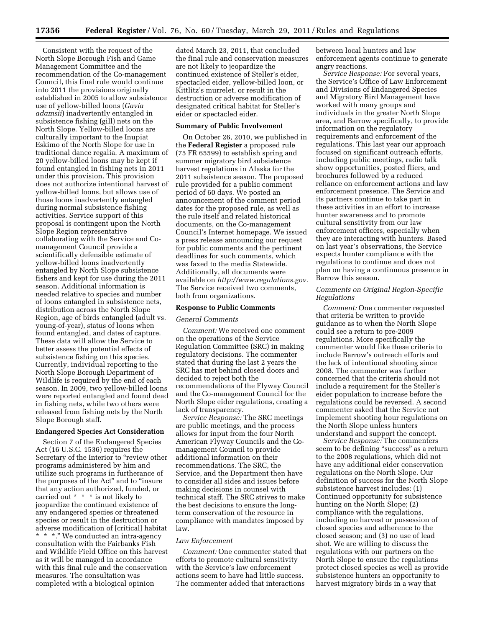Consistent with the request of the North Slope Borough Fish and Game Management Committee and the recommendation of the Co-management Council, this final rule would continue into 2011 the provisions originally established in 2005 to allow subsistence use of yellow-billed loons (*Gavia adamsii*) inadvertently entangled in subsistence fishing (gill) nets on the North Slope. Yellow-billed loons are culturally important to the Inupiat Eskimo of the North Slope for use in traditional dance regalia. A maximum of 20 yellow-billed loons may be kept if found entangled in fishing nets in 2011 under this provision. This provision does not authorize intentional harvest of yellow-billed loons, but allows use of those loons inadvertently entangled during normal subsistence fishing activities. Service support of this proposal is contingent upon the North Slope Region representative collaborating with the Service and Comanagement Council provide a scientifically defensible estimate of yellow-billed loons inadvertently entangled by North Slope subsistence fishers and kept for use during the 2011 season. Additional information is needed relative to species and number of loons entangled in subsistence nets, distribution across the North Slope Region, age of birds entangled (adult vs. young-of-year), status of loons when found entangled, and dates of capture. These data will allow the Service to better assess the potential effects of subsistence fishing on this species. Currently, individual reporting to the North Slope Borough Department of Wildlife is required by the end of each season. In 2009, two yellow-billed loons were reported entangled and found dead in fishing nets, while two others were released from fishing nets by the North Slope Borough staff.

### **Endangered Species Act Consideration**

Section 7 of the Endangered Species Act (16 U.S.C. 1536) requires the Secretary of the Interior to "review other programs administered by him and utilize such programs in furtherance of the purposes of the Act'' and to ''insure that any action authorized, funded, or carried out \* \* \* is not likely to jeopardize the continued existence of any endangered species or threatened species or result in the destruction or adverse modification of [critical] habitat \* \* \*.'' We conducted an intra-agency consultation with the Fairbanks Fish and Wildlife Field Office on this harvest as it will be managed in accordance with this final rule and the conservation measures. The consultation was completed with a biological opinion

dated March 23, 2011, that concluded the final rule and conservation measures are not likely to jeopardize the continued existence of Steller's eider, spectacled eider, yellow-billed loon, or Kittlitz's murrelet, or result in the destruction or adverse modification of designated critical habitat for Steller's eider or spectacled eider.

### **Summary of Public Involvement**

On October 26, 2010, we published in the **Federal Register** a proposed rule (75 FR 65599) to establish spring and summer migratory bird subsistence harvest regulations in Alaska for the 2011 subsistence season. The proposed rule provided for a public comment period of 60 days. We posted an announcement of the comment period dates for the proposed rule, as well as the rule itself and related historical documents, on the Co-management Council's Internet homepage. We issued a press release announcing our request for public comments and the pertinent deadlines for such comments, which was faxed to the media Statewide. Additionally, all documents were available on *[http://www.regulations.gov.](http://www.regulations.gov)*  The Service received two comments, both from organizations.

### **Response to Public Comments**

#### *General Comments*

*Comment:* We received one comment on the operations of the Service Regulation Committee (SRC) in making regulatory decisions. The commenter stated that during the last 2 years the SRC has met behind closed doors and decided to reject both the recommendations of the Flyway Council and the Co-management Council for the North Slope eider regulations, creating a lack of transparency.

*Service Response:* The SRC meetings are public meetings, and the process allows for input from the four North American Flyway Councils and the Comanagement Council to provide additional information on their recommendations. The SRC, the Service, and the Department then have to consider all sides and issues before making decisions in counsel with technical staff. The SRC strives to make the best decisions to ensure the longterm conservation of the resource in compliance with mandates imposed by law.

# *Law Enforcement*

*Comment:* One commenter stated that efforts to promote cultural sensitivity with the Service's law enforcement actions seem to have had little success. The commenter added that interactions

between local hunters and law enforcement agents continue to generate angry reactions.

*Service Response:* For several years, the Service's Office of Law Enforcement and Divisions of Endangered Species and Migratory Bird Management have worked with many groups and individuals in the greater North Slope area, and Barrow specifically, to provide information on the regulatory requirements and enforcement of the regulations. This last year our approach focused on significant outreach efforts, including public meetings, radio talk show opportunities, posted fliers, and brochures followed by a reduced reliance on enforcement actions and law enforcement presence. The Service and its partners continue to take part in these activities in an effort to increase hunter awareness and to promote cultural sensitivity from our law enforcement officers, especially when they are interacting with hunters. Based on last year's observations, the Service expects hunter compliance with the regulations to continue and does not plan on having a continuous presence in Barrow this season.

### *Comments on Original Region-Specific Regulations*

*Comment:* One commenter requested that criteria be written to provide guidance as to when the North Slope could see a return to pre-2009 regulations. More specifically the commenter would like these criteria to include Barrow's outreach efforts and the lack of intentional shooting since 2008. The commenter was further concerned that the criteria should not include a requirement for the Steller's eider population to increase before the regulations could be reversed. A second commenter asked that the Service not implement shooting hour regulations on the North Slope unless hunters understand and support the concept.

*Service Response:* The commenters seem to be defining "success" as a return to the 2008 regulations, which did not have any additional eider conservation regulations on the North Slope. Our definition of success for the North Slope subsistence harvest includes: (1) Continued opportunity for subsistence hunting on the North Slope; (2) compliance with the regulations, including no harvest or possession of closed species and adherence to the closed season; and (3) no use of lead shot. We are willing to discuss the regulations with our partners on the North Slope to ensure the regulations protect closed species as well as provide subsistence hunters an opportunity to harvest migratory birds in a way that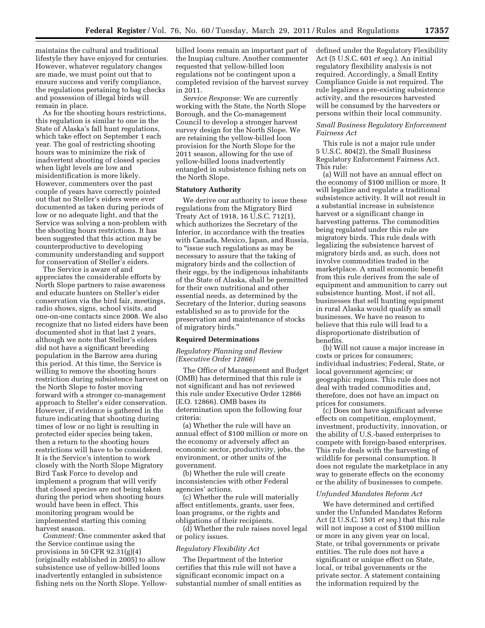maintains the cultural and traditional lifestyle they have enjoyed for centuries. However, whatever regulatory changes are made, we must point out that to ensure success and verify compliance, the regulations pertaining to bag checks and possession of illegal birds will remain in place.

As for the shooting hours restrictions, this regulation is similar to one in the State of Alaska's fall hunt regulations, which take effect on September 1 each year. The goal of restricting shooting hours was to minimize the risk of inadvertent shooting of closed species when light levels are low and misidentification is more likely. However, commenters over the past couple of years have correctly pointed out that no Steller's eiders were ever documented as taken during periods of low or no adequate light, and that the Service was solving a non-problem with the shooting hours restrictions. It has been suggested that this action may be counterproductive to developing community understanding and support for conservation of Steller's eiders.

The Service is aware of and appreciates the considerable efforts by North Slope partners to raise awareness and educate hunters on Steller's eider conservation via the bird fair, meetings, radio shows, signs, school visits, and one-on-one contacts since 2008. We also recognize that no listed eiders have been documented shot in that last 2 years, although we note that Steller's eiders did not have a significant breeding population in the Barrow area during this period. At this time, the Service is willing to remove the shooting hours restriction during subsistence harvest on the North Slope to foster moving forward with a stronger co-management approach to Steller's eider conservation. However, if evidence is gathered in the future indicating that shooting during times of low or no light is resulting in protected eider species being taken, then a return to the shooting hours restrictions will have to be considered. It is the Service's intention to work closely with the North Slope Migratory Bird Task Force to develop and implement a program that will verify that closed species are not being taken during the period when shooting hours would have been in effect. This monitoring program would be implemented starting this coming harvest season.

*Comment:* One commenter asked that the Service continue using the provisions in 50 CFR 92.31(g)(4) (originally established in 2005) to allow subsistence use of yellow-billed loons inadvertently entangled in subsistence fishing nets on the North Slope. Yellow-

billed loons remain an important part of the Inupiaq culture. Another commenter requested that yellow-billed loon regulations not be contingent upon a completed revision of the harvest survey in 2011.

*Service Response:* We are currently working with the State, the North Slope Borough, and the Co-management Council to develop a stronger harvest survey design for the North Slope. We are retaining the yellow-billed loon provision for the North Slope for the 2011 season, allowing for the use of yellow-billed loons inadvertently entangled in subsistence fishing nets on the North Slope.

#### **Statutory Authority**

We derive our authority to issue these regulations from the Migratory Bird Treaty Act of 1918, 16 U.S.C. 712(1), which authorizes the Secretary of the Interior, in accordance with the treaties with Canada, Mexico, Japan, and Russia, to ''issue such regulations as may be necessary to assure that the taking of migratory birds and the collection of their eggs, by the indigenous inhabitants of the State of Alaska, shall be permitted for their own nutritional and other essential needs, as determined by the Secretary of the Interior, during seasons established so as to provide for the preservation and maintenance of stocks of migratory birds.''

#### **Required Determinations**

#### *Regulatory Planning and Review (Executive Order 12866)*

The Office of Management and Budget (OMB) has determined that this rule is not significant and has not reviewed this rule under Executive Order 12866 (E.O. 12866). OMB bases its determination upon the following four criteria:

(a) Whether the rule will have an annual effect of \$100 million or more on the economy or adversely affect an economic sector, productivity, jobs, the environment, or other units of the government.

(b) Whether the rule will create inconsistencies with other Federal agencies' actions.

(c) Whether the rule will materially affect entitlements, grants, user fees, loan programs, or the rights and obligations of their recipients.

(d) Whether the rule raises novel legal or policy issues.

### *Regulatory Flexibility Act*

The Department of the Interior certifies that this rule will not have a significant economic impact on a substantial number of small entities as

defined under the Regulatory Flexibility Act (5 U.S.C. 601 *et seq.*). An initial regulatory flexibility analysis is not required. Accordingly, a Small Entity Compliance Guide is not required. The rule legalizes a pre-existing subsistence activity, and the resources harvested will be consumed by the harvesters or persons within their local community.

# *Small Business Regulatory Enforcement Fairness Act*

This rule is not a major rule under 5 U.S.C. 804(2), the Small Business Regulatory Enforcement Fairness Act. This rule:

(a) Will not have an annual effect on the economy of \$100 million or more. It will legalize and regulate a traditional subsistence activity. It will not result in a substantial increase in subsistence harvest or a significant change in harvesting patterns. The commodities being regulated under this rule are migratory birds. This rule deals with legalizing the subsistence harvest of migratory birds and, as such, does not involve commodities traded in the marketplace. A small economic benefit from this rule derives from the sale of equipment and ammunition to carry out subsistence hunting. Most, if not all, businesses that sell hunting equipment in rural Alaska would qualify as small businesses. We have no reason to believe that this rule will lead to a disproportionate distribution of benefits.

(b) Will not cause a major increase in costs or prices for consumers; individual industries; Federal, State, or local government agencies; or geographic regions. This rule does not deal with traded commodities and, therefore, does not have an impact on prices for consumers.

(c) Does not have significant adverse effects on competition, employment, investment, productivity, innovation, or the ability of U.S.-based enterprises to compete with foreign-based enterprises. This rule deals with the harvesting of wildlife for personal consumption. It does not regulate the marketplace in any way to generate effects on the economy or the ability of businesses to compete.

#### *Unfunded Mandates Reform Act*

We have determined and certified under the Unfunded Mandates Reform Act (2 U.S.C. 1501 *et seq.*) that this rule will not impose a cost of \$100 million or more in any given year on local, State, or tribal governments or private entities. The rule does not have a significant or unique effect on State, local, or tribal governments or the private sector. A statement containing the information required by the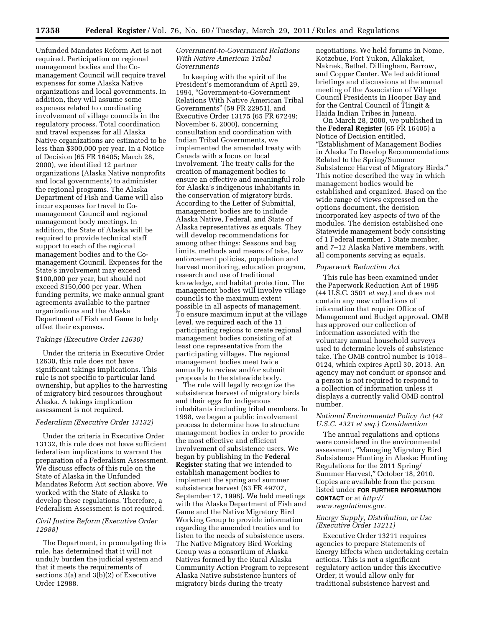Unfunded Mandates Reform Act is not required. Participation on regional management bodies and the Comanagement Council will require travel expenses for some Alaska Native organizations and local governments. In addition, they will assume some expenses related to coordinating involvement of village councils in the regulatory process. Total coordination and travel expenses for all Alaska Native organizations are estimated to be less than \$300,000 per year. In a Notice of Decision (65 FR 16405; March 28, 2000), we identified 12 partner organizations (Alaska Native nonprofits and local governments) to administer the regional programs. The Alaska Department of Fish and Game will also incur expenses for travel to Comanagement Council and regional management body meetings. In addition, the State of Alaska will be required to provide technical staff support to each of the regional management bodies and to the Comanagement Council. Expenses for the State's involvement may exceed \$100,000 per year, but should not exceed \$150,000 per year. When funding permits, we make annual grant agreements available to the partner organizations and the Alaska Department of Fish and Game to help offset their expenses.

# *Takings (Executive Order 12630)*

Under the criteria in Executive Order 12630, this rule does not have significant takings implications. This rule is not specific to particular land ownership, but applies to the harvesting of migratory bird resources throughout Alaska. A takings implication assessment is not required.

### *Federalism (Executive Order 13132)*

Under the criteria in Executive Order 13132, this rule does not have sufficient federalism implications to warrant the preparation of a Federalism Assessment. We discuss effects of this rule on the State of Alaska in the Unfunded Mandates Reform Act section above. We worked with the State of Alaska to develop these regulations. Therefore, a Federalism Assessment is not required.

### *Civil Justice Reform (Executive Order 12988)*

The Department, in promulgating this rule, has determined that it will not unduly burden the judicial system and that it meets the requirements of sections 3(a) and 3(b)(2) of Executive Order 12988.

### *Government-to-Government Relations With Native American Tribal Governments*

In keeping with the spirit of the President's memorandum of April 29, 1994, ''Government-to-Government Relations With Native American Tribal Governments'' (59 FR 22951), and Executive Order 13175 (65 FR 67249; November 6, 2000), concerning consultation and coordination with Indian Tribal Governments, we implemented the amended treaty with Canada with a focus on local involvement. The treaty calls for the creation of management bodies to ensure an effective and meaningful role for Alaska's indigenous inhabitants in the conservation of migratory birds. According to the Letter of Submittal, management bodies are to include Alaska Native, Federal, and State of Alaska representatives as equals. They will develop recommendations for among other things: Seasons and bag limits, methods and means of take, law enforcement policies, population and harvest monitoring, education program, research and use of traditional knowledge, and habitat protection. The management bodies will involve village councils to the maximum extent possible in all aspects of management. To ensure maximum input at the village level, we required each of the 11 participating regions to create regional management bodies consisting of at least one representative from the participating villages. The regional management bodies meet twice annually to review and/or submit proposals to the statewide body.

The rule will legally recognize the subsistence harvest of migratory birds and their eggs for indigenous inhabitants including tribal members. In 1998, we began a public involvement process to determine how to structure management bodies in order to provide the most effective and efficient involvement of subsistence users. We began by publishing in the **Federal Register** stating that we intended to establish management bodies to implement the spring and summer subsistence harvest (63 FR 49707, September 17, 1998). We held meetings with the Alaska Department of Fish and Game and the Native Migratory Bird Working Group to provide information regarding the amended treaties and to listen to the needs of subsistence users. The Native Migratory Bird Working Group was a consortium of Alaska Natives formed by the Rural Alaska Community Action Program to represent Alaska Native subsistence hunters of migratory birds during the treaty

negotiations. We held forums in Nome, Kotzebue, Fort Yukon, Allakaket, Naknek, Bethel, Dillingham, Barrow, and Copper Center. We led additional briefings and discussions at the annual meeting of the Association of Village Council Presidents in Hooper Bay and for the Central Council of Tlingit & Haida Indian Tribes in Juneau.

On March 28, 2000, we published in the **Federal Register** (65 FR 16405) a Notice of Decision entitled, ''Establishment of Management Bodies in Alaska To Develop Recommendations Related to the Spring/Summer Subsistence Harvest of Migratory Birds.'' This notice described the way in which management bodies would be established and organized. Based on the wide range of views expressed on the options document, the decision incorporated key aspects of two of the modules. The decision established one Statewide management body consisting of 1 Federal member, 1 State member, and 7–12 Alaska Native members, with all components serving as equals.

#### *Paperwork Reduction Act*

This rule has been examined under the Paperwork Reduction Act of 1995 (44 U.S.C. 3501 *et seq.*) and does not contain any new collections of information that require Office of Management and Budget approval. OMB has approved our collection of information associated with the voluntary annual household surveys used to determine levels of subsistence take. The OMB control number is 1018– 0124, which expires April 30, 2013. An agency may not conduct or sponsor and a person is not required to respond to a collection of information unless it displays a currently valid OMB control number.

### *National Environmental Policy Act (42 U.S.C. 4321 et seq.) Consideration*

The annual regulations and options were considered in the environmental assessment, ''Managing Migratory Bird Subsistence Hunting in Alaska: Hunting Regulations for the 2011 Spring/ Summer Harvest,'' October 18, 2010. Copies are available from the person listed under **FOR FURTHER INFORMATION CONTACT** or at *[http://](http://www.regulations.gov) [www.regulations.gov.](http://www.regulations.gov)* 

# *Energy Supply, Distribution, or Use (Executive Order 13211)*

Executive Order 13211 requires agencies to prepare Statements of Energy Effects when undertaking certain actions. This is not a significant regulatory action under this Executive Order; it would allow only for traditional subsistence harvest and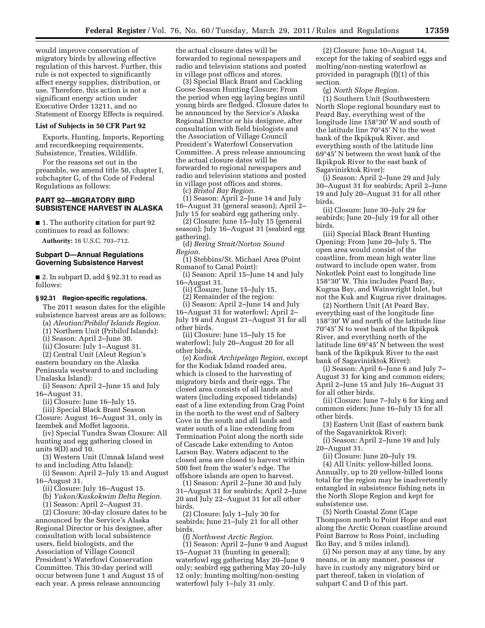would improve conservation of migratory birds by allowing effective regulation of this harvest. Further, this rule is not expected to significantly affect energy supplies, distribution, or use. Therefore, this action is not a significant energy action under Executive Order 13211, and no Statement of Energy Effects is required.

# **List of Subjects in 50 CFR Part 92**

Exports, Hunting, Imports, Reporting and recordkeeping requirements, Subsistence, Treaties, Wildlife.

For the reasons set out in the preamble, we amend title 50, chapter I, subchapter G, of the Code of Federal Regulations as follows:

## **PART 92—MIGRATORY BIRD SUBSISTENCE HARVEST IN ALASKA**

■ 1. The authority citation for part 92 continues to read as follows:

**Authority:** 16 U.S.C. 703–712.

# **Subpart D—Annual Regulations Governing Subsistence Harvest**

■ 2. In subpart D, add § 92.31 to read as follows:

#### **§ 92.31 Region-specific regulations.**

The 2011 season dates for the eligible subsistence harvest areas are as follows:

(a) *Aleutian/Pribilof Islands Region.* 

(1) Northern Unit (Pribilof Islands):

(i) Season: April 2–June 30.

(ii) Closure: July 1–August 31.

(2) Central Unit (Aleut Region's eastern boundary on the Alaska Peninsula westward to and including Unalaska Island):

(i) Season: April 2–June 15 and July 16–August 31.

(ii) Closure: June 16–July 15.

(iii) Special Black Brant Season Closure: August 16–August 31, only in Izembek and Moffet lagoons.

(iv) Special Tundra Swan Closure: All hunting and egg gathering closed in units 9(D) and 10.

(3) Western Unit (Umnak Island west to and including Attu Island):

(i) Season: April 2–July 15 and August 16–August 31.

(ii) Closure: July 16–August 15.

(b) *Yukon/Kuskokwim Delta Region.* 

(1) Season: April 2–August 31.

(2) Closure: 30-day closure dates to be announced by the Service's Alaska Regional Director or his designee, after consultation with local subsistence users, field biologists, and the Association of Village Council President's Waterfowl Conservation Committee. This 30-day period will occur between June 1 and August 15 of each year. A press release announcing

the actual closure dates will be forwarded to regional newspapers and radio and television stations and posted in village post offices and stores.

(3) Special Black Brant and Cackling Goose Season Hunting Closure: From the period when egg laying begins until young birds are fledged. Closure dates to be announced by the Service's Alaska Regional Director or his designee, after consultation with field biologists and the Association of Village Council President's Waterfowl Conservation Committee. A press release announcing the actual closure dates will be forwarded to regional newspapers and radio and television stations and posted in village post offices and stores.

(c) *Bristol Bay Region.* 

(1) Season: April 2–June 14 and July 16–August 31 (general season); April 2– July 15 for seabird egg gathering only.

(2) Closure: June 15–July 15 (general season); July 16–August 31 (seabird egg gathering).

(d) *Bering Strait/Norton Sound Region.* 

(1) Stebbins/St. Michael Area (Point Romanof to Canal Point):

(i) Season: April 15–June 14 and July 16–August 31.

(ii) Closure: June 15–July 15.

(2) Remainder of the region:

(i) Season: April 2–June 14 and July 16–August 31 for waterfowl; April 2– July 19 and August 21–August 31 for all other birds.

(ii) Closure: June 15–July 15 for waterfowl; July 20–August 20 for all other birds.

(e) *Kodiak Archipelago Region,* except for the Kodiak Island roaded area, which is closed to the harvesting of migratory birds and their eggs. The closed area consists of all lands and waters (including exposed tidelands) east of a line extending from Crag Point in the north to the west end of Saltery Cove in the south and all lands and water south of a line extending from Termination Point along the north side of Cascade Lake extending to Anton Larson Bay. Waters adjacent to the closed area are closed to harvest within 500 feet from the water's edge. The offshore islands are open to harvest.

(1) Season: April 2–June 30 and July 31–August 31 for seabirds; April 2–June 20 and July 22–August 31 for all other birds.

(2) Closure: July 1–July 30 for seabirds; June 21–July 21 for all other birds.

(f) *Northwest Arctic Region.*  (1) Season: April 2–June 9 and August 15–August 31 (hunting in general); waterfowl egg gathering May 20–June 9 only; seabird egg gathering May 20–July 12 only; hunting molting/non-nesting waterfowl July 1–July 31 only.

(2) Closure: June 10–August 14, except for the taking of seabird eggs and molting/non-nesting waterfowl as provided in paragraph (f)(1) of this section.

(g) *North Slope Region.* 

(1) Southern Unit (Southwestern North Slope regional boundary east to Peard Bay, everything west of the longitude line 158°30′ W and south of the latitude line 70°45′ N to the west bank of the Ikpikpuk River, and everything south of the latitude line 69°45′ N between the west bank of the Ikpikpuk River to the east bank of Sagavinirktok River):

(i) Season: April 2–June 29 and July 30–August 31 for seabirds; April 2–June 19 and July 20–August 31 for all other birds.

(ii) Closure: June 30–July 29 for seabirds; June 20–July 19 for all other birds.

(iii) Special Black Brant Hunting Opening: From June 20–July 5. The open area would consist of the coastline, from mean high water line outward to include open water, from Nokotlek Point east to longitude line 158°30′ W. This includes Peard Bay, Kugrua Bay, and Wainwright Inlet, but not the Kuk and Kugrua river drainages.

(2) Northern Unit (At Peard Bay, everything east of the longitude line 158°30′ W and north of the latitude line 70°45′ N to west bank of the Ikpikpuk River, and everything north of the latitude line 69°45′ N between the west bank of the Ikpikpuk River to the east bank of Sagavinirktok River):

(i) Season: April 6–June 6 and July 7– August 31 for king and common eiders; April 2–June 15 and July 16–August 31 for all other birds.

(ii) Closure: June 7–July 6 for king and common eiders; June 16–July 15 for all other birds.

(3) Eastern Unit (East of eastern bank of the Sagavanirktok River):

(i) Season: April 2–June 19 and July 20–August 31.

(ii) Closure: June 20–July 19.

(4) All Units: yellow-billed loons. Annually, up to 20 yellow-billed loons total for the region may be inadvertently entangled in subsistence fishing nets in the North Slope Region and kept for subsistence use.

(5) North Coastal Zone (Cape Thompson north to Point Hope and east along the Arctic Ocean coastline around Point Barrow to Ross Point, including Iko Bay, and 5 miles inland).

(i) No person may at any time, by any means, or in any manner, possess or have in custody any migratory bird or part thereof, taken in violation of subpart C and D of this part.